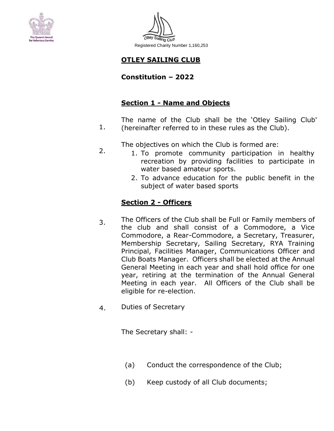



# **OTLEY SAILING CLUB**

## **Constitution – 2022**

# **Section 1 - Name and Objects**

1. The name of the Club shall be the 'Otley Sailing Club' (hereinafter referred to in these rules as the Club).

The objectives on which the Club is formed are:

- 1. To promote community participation in healthy recreation by providing facilities to participate in water based amateur sports.
	- 2. To advance education for the public benefit in the subject of water based sports

# **Section 2 - Officers**

2.

- 3. The Officers of the Club shall be Full or Family members of the club and shall consist of a Commodore, a Vice Commodore, a Rear-Commodore, a Secretary, Treasurer, Membership Secretary, Sailing Secretary, RYA Training Principal, Facilities Manager, Communications Officer and Club Boats Manager. Officers shall be elected at the Annual General Meeting in each year and shall hold office for one year, retiring at the termination of the Annual General Meeting in each year. All Officers of the Club shall be eligible for re-election.
- Duties of Secretary 4.

The Secretary shall: -

- (a) Conduct the correspondence of the Club;
- (b) Keep custody of all Club documents;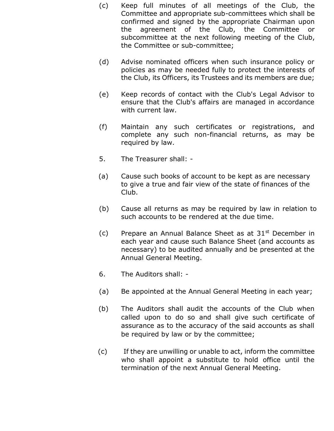- (c) Keep full minutes of all meetings of the Club, the Committee and appropriate sub-committees which shall be confirmed and signed by the appropriate Chairman upon the agreement of the Club, the Committee or subcommittee at the next following meeting of the Club, the Committee or sub-committee;
- (d) Advise nominated officers when such insurance policy or policies as may be needed fully to protect the interests of the Club, its Officers, its Trustees and its members are due;
- (e) Keep records of contact with the Club's Legal Advisor to ensure that the Club's affairs are managed in accordance with current law.
- (f) Maintain any such certificates or registrations, and complete any such non-financial returns, as may be required by law.
- 5. The Treasurer shall: -
- (a) Cause such books of account to be kept as are necessary to give a true and fair view of the state of finances of the Club.
- (b) Cause all returns as may be required by law in relation to such accounts to be rendered at the due time.
- (c) Prepare an Annual Balance Sheet as at  $31<sup>st</sup>$  December in each year and cause such Balance Sheet (and accounts as necessary) to be audited annually and be presented at the Annual General Meeting.
- 6. The Auditors shall: -
- (a) Be appointed at the Annual General Meeting in each year;
- (b) The Auditors shall audit the accounts of the Club when called upon to do so and shall give such certificate of assurance as to the accuracy of the said accounts as shall be required by law or by the committee;
- (c) If they are unwilling or unable to act, inform the committee who shall appoint a substitute to hold office until the termination of the next Annual General Meeting.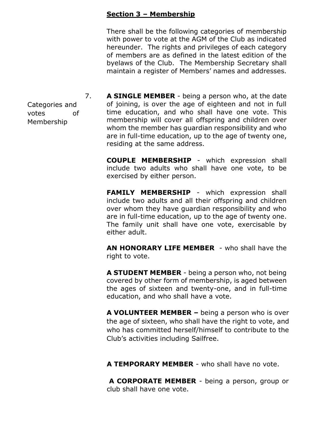#### **Section 3 – Membership**

There shall be the following categories of membership with power to vote at the AGM of the Club as indicated hereunder. The rights and privileges of each category of members are as defined in the latest edition of the byelaws of the Club. The Membership Secretary shall maintain a register of Members' names and addresses.

7. **A SINGLE MEMBER** - being a person who, at the date of joining, is over the age of eighteen and not in full time education, and who shall have one vote. This membership will cover all offspring and children over whom the member has guardian responsibility and who are in full-time education, up to the age of twenty one, residing at the same address.

> **COUPLE MEMBERSHIP** - which expression shall include two adults who shall have one vote, to be exercised by either person.

> **FAMILY MEMBERSHIP** - which expression shall include two adults and all their offspring and children over whom they have guardian responsibility and who are in full-time education, up to the age of twenty one. The family unit shall have one vote, exercisable by either adult.

> **AN HONORARY LIFE MEMBER** - who shall have the right to vote.

> **A STUDENT MEMBER** - being a person who, not being covered by other form of membership, is aged between the ages of sixteen and twenty-one, and in full-time education, and who shall have a vote.

**A VOLUNTEER MEMBER –** being a person who is over the age of sixteen, who shall have the right to vote, and who has committed herself/himself to contribute to the Club's activities including Sailfree.

**A TEMPORARY MEMBER** - who shall have no vote.

**A CORPORATE MEMBER** - being a person, group or club shall have one vote.

Categories and votes Membership of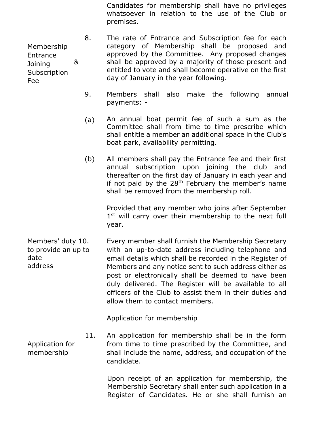Candidates for membership shall have no privileges whatsoever in relation to the use of the Club or premises.

8. & The rate of Entrance and Subscription fee for each category of Membership shall be proposed and approved by the Committee. Any proposed changes shall be approved by a majority of those present and entitled to vote and shall become operative on the first day of January in the year following.

- 9. Members shall also make the following annual payments: -
- (a) An annual boat permit fee of such a sum as the Committee shall from time to time prescribe which shall entitle a member an additional space in the Club's boat park, availability permitting.
- (b) All members shall pay the Entrance fee and their first annual subscription upon joining the club and thereafter on the first day of January in each year and if not paid by the  $28<sup>th</sup>$  February the member's name shall be removed from the membership roll.

Provided that any member who joins after September 1<sup>st</sup> will carry over their membership to the next full year.

Members' duty 10. to provide an up to date address Every member shall furnish the Membership Secretary with an up-to-date address including telephone and email details which shall be recorded in the Register of Members and any notice sent to such address either as post or electronically shall be deemed to have been duly delivered. The Register will be available to all officers of the Club to assist them in their duties and allow them to contact members.

Application for membership

11. An application for membership shall be in the form from time to time prescribed by the Committee, and shall include the name, address, and occupation of the candidate.

> Upon receipt of an application for membership, the Membership Secretary shall enter such application in a Register of Candidates. He or she shall furnish an

Membership Entrance Joining **Subscription** Fee

Application for membership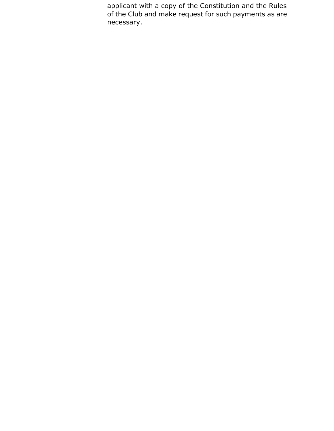applicant with a copy of the Constitution and the Rules of the Club and make request for such payments as are necessary.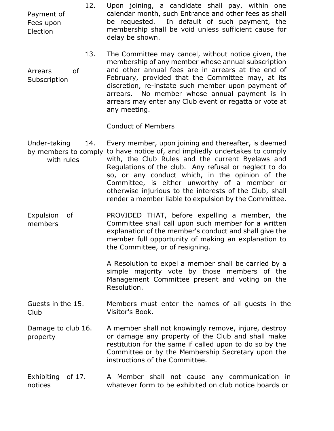12. Upon joining, a candidate shall pay, within one calendar month, such Entrance and other fees as shall be requested. In default of such payment, the membership shall be void unless sufficient cause for delay be shown.

13. Arrears of Subscription The Committee may cancel, without notice given, the membership of any member whose annual subscription and other annual fees are in arrears at the end of February, provided that the Committee may, at its discretion, re-instate such member upon payment of arrears. No member whose annual payment is in arrears may enter any Club event or regatta or vote at any meeting.

Conduct of Members

- Under-taking 14. by members to comply to have notice of, and impliedly undertakes to comply with rules Every member, upon joining and thereafter, is deemed with, the Club Rules and the current Byelaws and Regulations of the club. Any refusal or neglect to do so, or any conduct which, in the opinion of the Committee, is either unworthy of a member or otherwise injurious to the interests of the Club, shall render a member liable to expulsion by the Committee.
- Expulsion of members PROVIDED THAT, before expelling a member, the Committee shall call upon such member for a written explanation of the member's conduct and shall give the member full opportunity of making an explanation to the Committee, or of resigning.

A Resolution to expel a member shall be carried by a simple majority vote by those members of the Management Committee present and voting on the Resolution.

Guests in the 15. Club Members must enter the names of all guests in the Visitor's Book.

Damage to club 16. property A member shall not knowingly remove, injure, destroy or damage any property of the Club and shall make restitution for the same if called upon to do so by the Committee or by the Membership Secretary upon the instructions of the Committee.

Exhibiting of 17. notices A Member shall not cause any communication in whatever form to be exhibited on club notice boards or

Payment of Fees upon Election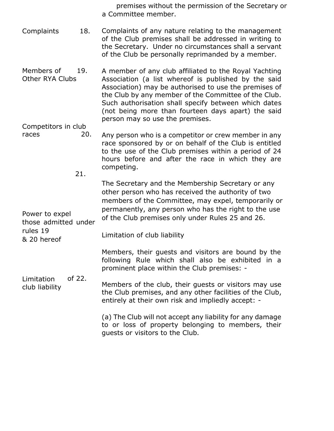premises without the permission of the Secretary or a Committee member.

- Complaints 18. Complaints of any nature relating to the management of the Club premises shall be addressed in writing to the Secretary. Under no circumstances shall a servant of the Club be personally reprimanded by a member.
- Members of 19. Other RYA Clubs A member of any club affiliated to the Royal Yachting Association (a list whereof is published by the said Association) may be authorised to use the premises of the Club by any member of the Committee of the Club. Such authorisation shall specify between which dates (not being more than fourteen days apart) the said person may so use the premises.

Competitors in club

races 20. Any person who is a competitor or crew member in any race sponsored by or on behalf of the Club is entitled to the use of the Club premises within a period of 24 hours before and after the race in which they are competing.

21.

The Secretary and the Membership Secretary or any other person who has received the authority of two members of the Committee, may expel, temporarily or permanently, any person who has the right to the use of the Club premises only under Rules 25 and 26.

Power to expel those admitted under rules 19 & 20 hereof

Limitation of club liability

Members, their guests and visitors are bound by the following Rule which shall also be exhibited in a prominent place within the Club premises: -

Limitation club liability of 22.

Members of the club, their guests or visitors may use the Club premises, and any other facilities of the Club, entirely at their own risk and impliedly accept: -

> (a) The Club will not accept any liability for any damage to or loss of property belonging to members, their guests or visitors to the Club.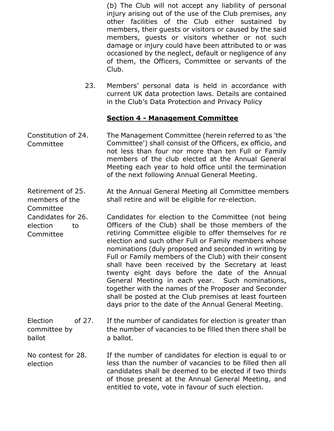(b) The Club will not accept any liability of personal injury arising out of the use of the Club premises, any other facilities of the Club either sustained by members, their guests or visitors or caused by the said members, guests or visitors whether or not such damage or injury could have been attributed to or was occasioned by the neglect, default or negligence of any of them, the Officers, Committee or servants of the Club.

23. Members' personal data is held in accordance with current UK data protection laws. Details are contained in the Club's Data Protection and Privacy Policy

### **Section 4 - Management Committee**

Constitution of 24. Committee The Management Committee (herein referred to as 'the Committee') shall consist of the Officers, ex officio, and not less than four nor more than ten Full or Family members of the club elected at the Annual General Meeting each year to hold office until the termination of the next following Annual General Meeting.

Retirement of 25. members of the At the Annual General Meeting all Committee members shall retire and will be eligible for re-election.

Committee

Candidates for 26. election to Committee Candidates for election to the Committee (not being Officers of the Club) shall be those members of the retiring Committee eligible to offer themselves for re election and such other Full or Family members whose nominations (duly proposed and seconded in writing by Full or Family members of the Club) with their consent shall have been received by the Secretary at least twenty eight days before the date of the Annual General Meeting in each year. Such nominations, together with the names of the Proposer and Seconder shall be posted at the Club premises at least fourteen days prior to the date of the Annual General Meeting.

Election of 27. committee by ballot If the number of candidates for election is greater than the number of vacancies to be filled then there shall be a ballot.

No contest for 28. election If the number of candidates for election is equal to or less than the number of vacancies to be filled then all candidates shall be deemed to be elected if two thirds of those present at the Annual General Meeting, and entitled to vote, vote in favour of such election.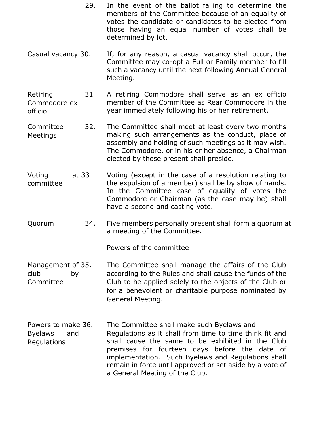- 29. In the event of the ballot failing to determine the members of the Committee because of an equality of votes the candidate or candidates to be elected from those having an equal number of votes shall be determined by lot.
- Casual vacancy 30. If, for any reason, a casual vacancy shall occur, the Committee may co-opt a Full or Family member to fill such a vacancy until the next following Annual General Meeting.

Retiring 31 Commodore ex A retiring Commodore shall serve as an ex officio member of the Committee as Rear Commodore in the officio year immediately following his or her retirement.

- Committee **Meetings** 32. The Committee shall meet at least every two months making such arrangements as the conduct, place of assembly and holding of such meetings as it may wish. The Commodore, or in his or her absence, a Chairman elected by those present shall preside.
- Voting committee at 33 Voting (except in the case of a resolution relating to the expulsion of a member) shall be by show of hands. In the Committee case of equality of votes the Commodore or Chairman (as the case may be) shall have a second and casting vote.
- Quorum 34. Five members personally present shall form a quorum at a meeting of the Committee.

Powers of the committee

- Management of 35. club by Committee The Committee shall manage the affairs of the Club according to the Rules and shall cause the funds of the Club to be applied solely to the objects of the Club or for a benevolent or charitable purpose nominated by General Meeting.
- Powers to make 36. Byelaws and Regulations The Committee shall make such Byelaws and Regulations as it shall from time to time think fit and shall cause the same to be exhibited in the Club premises for fourteen days before the date of implementation. Such Byelaws and Regulations shall remain in force until approved or set aside by a vote of a General Meeting of the Club.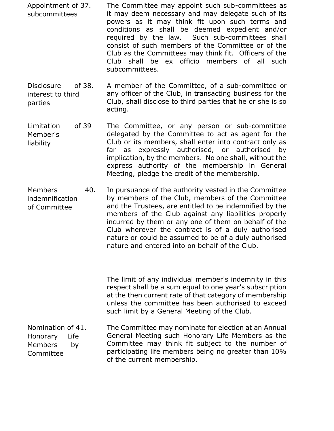- Appointment of 37. subcommittees The Committee may appoint such sub-committees as it may deem necessary and may delegate such of its powers as it may think fit upon such terms and conditions as shall be deemed expedient and/or required by the law. Such sub-committees shall consist of such members of the Committee or of the Club as the Committees may think fit. Officers of the Club shall be ex officio members of all such subcommittees.
- Disclosure of 38. interest to third parties A member of the Committee, of a sub-committee or any officer of the Club, in transacting business for the Club, shall disclose to third parties that he or she is so acting.
- Limitation of 39 Member's liability The Committee, or any person or sub-committee delegated by the Committee to act as agent for the Club or its members, shall enter into contract only as far as expressly authorised, or authorised by implication, by the members. No one shall, without the express authority of the membership in General Meeting, pledge the credit of the membership.
- Members 40. indemnification of Committee In pursuance of the authority vested in the Committee by members of the Club, members of the Committee and the Trustees, are entitled to be indemnified by the members of the Club against any liabilities properly incurred by them or any one of them on behalf of the Club wherever the contract is of a duly authorised nature or could be assumed to be of a duly authorised nature and entered into on behalf of the Club.

The limit of any individual member's indemnity in this respect shall be a sum equal to one year's subscription at the then current rate of that category of membership unless the committee has been authorised to exceed such limit by a General Meeting of the Club.

Nomination of 41. The Committee may nominate for election at an Annual General Meeting such Honorary Life Members as the Committee may think fit subject to the number of participating life members being no greater than 10% of the current membership. Honorary Members Committee Life by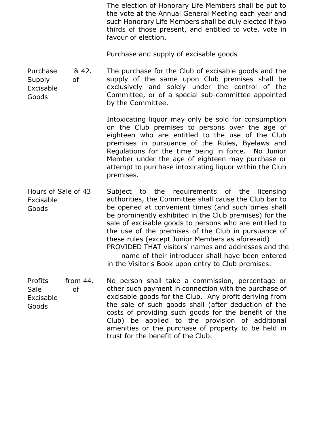The election of Honorary Life Members shall be put to the vote at the Annual General Meeting each year and such Honorary Life Members shall be duly elected if two thirds of those present, and entitled to vote, vote in favour of election.

Purchase and supply of excisable goods

Purchase **Supply** Excisable Goods & 42. of The purchase for the Club of excisable goods and the supply of the same upon Club premises shall be exclusively and solely under the control of the Committee, or of a special sub-committee appointed by the Committee.

> Intoxicating liquor may only be sold for consumption on the Club premises to persons over the age of eighteen who are entitled to the use of the Club premises in pursuance of the Rules, Byelaws and Regulations for the time being in force. No Junior Member under the age of eighteen may purchase or attempt to purchase intoxicating liquor within the Club premises.

Hours of Sale of 43 Excisable Goods Subject to the requirements of the licensing authorities, the Committee shall cause the Club bar to be opened at convenient times (and such times shall be prominently exhibited in the Club premises) for the sale of excisable goods to persons who are entitled to the use of the premises of the Club in pursuance of these rules (except Junior Members as aforesaid) PROVIDED THAT visitors' names and addresses and the name of their introducer shall have been entered in the Visitor's Book upon entry to Club premises.

Profits from 44. Sale of Excisable Goods No person shall take a commission, percentage or other such payment in connection with the purchase of excisable goods for the Club. Any profit deriving from the sale of such goods shall (after deduction of the costs of providing such goods for the benefit of the Club) be applied to the provision of additional amenities or the purchase of property to be held in trust for the benefit of the Club.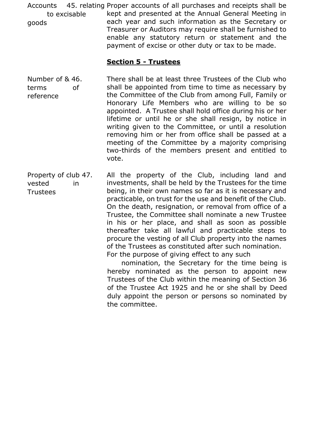Accounts 45. relating Proper accounts of all purchases and receipts shall be to excisable goods kept and presented at the Annual General Meeting in each year and such information as the Secretary or Treasurer or Auditors may require shall be furnished to enable any statutory return or statement and the payment of excise or other duty or tax to be made.

#### **Section 5 - Trustees**

Number of & 46. terms of reference There shall be at least three Trustees of the Club who shall be appointed from time to time as necessary by the Committee of the Club from among Full, Family or Honorary Life Members who are willing to be so appointed. A Trustee shall hold office during his or her lifetime or until he or she shall resign, by notice in writing given to the Committee, or until a resolution removing him or her from office shall be passed at a meeting of the Committee by a majority comprising two-thirds of the members present and entitled to vote.

Property of club 47. vested in **Trustees** All the property of the Club, including land and investments, shall be held by the Trustees for the time being, in their own names so far as it is necessary and practicable, on trust for the use and benefit of the Club. On the death, resignation, or removal from office of a Trustee, the Committee shall nominate a new Trustee in his or her place, and shall as soon as possible thereafter take all lawful and practicable steps to procure the vesting of all Club property into the names of the Trustees as constituted after such nomination. For the purpose of giving effect to any such

> nomination, the Secretary for the time being is hereby nominated as the person to appoint new Trustees of the Club within the meaning of Section 36 of the Trustee Act 1925 and he or she shall by Deed duly appoint the person or persons so nominated by the committee.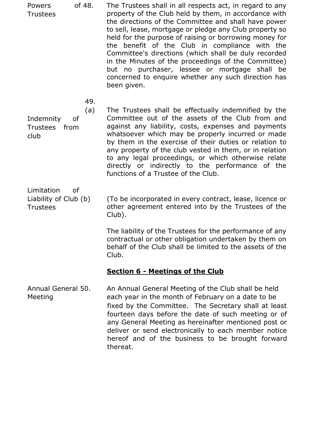Powers of 48. Trustees The Trustees shall in all respects act, in regard to any property of the Club held by them, in accordance with the directions of the Committee and shall have power to sell, lease, mortgage or pledge any Club property so held for the purpose of raising or borrowing money for the benefit of the Club in compliance with the Committee's directions (which shall be duly recorded in the Minutes of the proceedings of the Committee) but no purchaser, lessee or mortgage shall be concerned to enquire whether any such direction has been given.

49.

(a) Indemnity of Trustees from club

The Trustees shall be effectually indemnified by the Committee out of the assets of the Club from and against any liability, costs, expenses and payments whatsoever which may be properly incurred or made by them in the exercise of their duties or relation to any property of the club vested in them, or in relation to any legal proceedings, or which otherwise relate directly or indirectly to the performance of the functions of a Trustee of the Club.

Limitation of Liability of Club (b) **Trustees** 

(To be incorporated in every contract, lease, licence or other agreement entered into by the Trustees of the Club).

The liability of the Trustees for the performance of any contractual or other obligation undertaken by them on behalf of the Club shall be limited to the assets of the Club.

## **Section 6 - Meetings of the Club**

Annual General 50. Meeting An Annual General Meeting of the Club shall be held each year in the month of February on a date to be fixed by the Committee. The Secretary shall at least fourteen days before the date of such meeting or of any General Meeting as hereinafter mentioned post or deliver or send electronically to each member notice hereof and of the business to be brought forward thereat.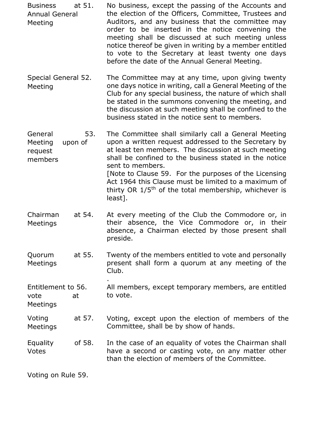| <b>Business</b> | at 51. | No business, except the passing of the Accounts and     |
|-----------------|--------|---------------------------------------------------------|
| Annual General  |        | the election of the Officers, Committee, Trustees and   |
| Meeting         |        | Auditors, and any business that the committee may       |
|                 |        | order to be inserted in the notice convening the        |
|                 |        | meeting shall be discussed at such meeting unless       |
|                 |        | notice thereof be given in writing by a member entitled |
|                 |        | to vote to the Secretary at least twenty one days       |
|                 |        | before the date of the Annual General Meeting.          |

Special General 52. The Committee may at any time, upon giving twenty one days notice in writing, call a General Meeting of the Club for any special business, the nature of which shall be stated in the summons convening the meeting, and the discussion at such meeting shall be confined to the business stated in the notice sent to members. Meeting

General Meeting request members 53. upon of The Committee shall similarly call a General Meeting upon a written request addressed to the Secretary by at least ten members. The discussion at such meeting shall be confined to the business stated in the notice sent to members. [Note to Clause 59. For the purposes of the Licensing Act 1964 this Clause must be limited to a maximum of thirty OR  $1/5<sup>th</sup>$  of the total membership, whichever is least].

- Chairman Meetings at 54. At every meeting of the Club the Commodore or, in their absence, the Vice Commodore or, in their absence, a Chairman elected by those present shall preside.
- Quorum Meetings at 55. Twenty of the members entitled to vote and personally present shall form a quorum at any meeting of the Club.

. Entitlement to 56. vote at All members, except temporary members, are entitled to vote.

Voting at 57. Meetings Voting, except upon the election of members of the Committee, shall be by show of hands.

Equality of 58. Votes In the case of an equality of votes the Chairman shall have a second or casting vote, on any matter other than the election of members of the Committee.

Voting on Rule 59.

Meetings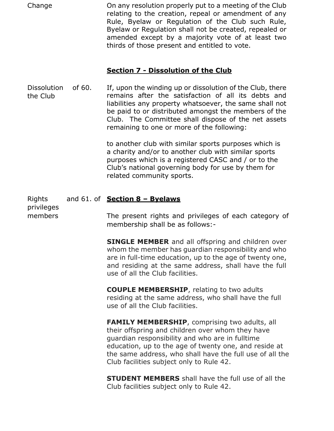Change On any resolution properly put to a meeting of the Club relating to the creation, repeal or amendment of any Rule, Byelaw or Regulation of the Club such Rule, Byelaw or Regulation shall not be created, repealed or amended except by a majority vote of at least two thirds of those present and entitled to vote.

#### **Section 7 - Dissolution of the Club**

Dissolution the Club of 60. If, upon the winding up or dissolution of the Club, there remains after the satisfaction of all its debts and liabilities any property whatsoever, the same shall not be paid to or distributed amongst the members of the Club. The Committee shall dispose of the net assets remaining to one or more of the following:

> to another club with similar sports purposes which is a charity and/or to another club with similar sports purposes which is a registered CASC and / or to the Club's national governing body for use by them for related community sports.

#### Rights and 61. of **Section 8 – Byelaws**

privileges members

The present rights and privileges of each category of membership shall be as follows:-

**SINGLE MEMBER** and all offspring and children over whom the member has guardian responsibility and who are in full-time education, up to the age of twenty one, and residing at the same address, shall have the full use of all the Club facilities.

**COUPLE MEMBERSHIP**, relating to two adults residing at the same address, who shall have the full use of all the Club facilities.

**FAMILY MEMBERSHIP, comprising two adults, all** their offspring and children over whom they have guardian responsibility and who are in fulltime education, up to the age of twenty one, and reside at the same address, who shall have the full use of all the Club facilities subject only to Rule 42.

**STUDENT MEMBERS** shall have the full use of all the Club facilities subject only to Rule 42.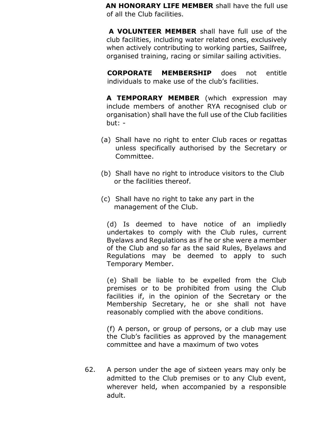**AN HONORARY LIFE MEMBER** shall have the full use of all the Club facilities.

**A VOLUNTEER MEMBER** shall have full use of the club facilities, including water related ones, exclusively when actively contributing to working parties, Sailfree, organised training, racing or similar sailing activities.

**CORPORATE MEMBERSHIP** does not entitle individuals to make use of the club's facilities.

 **A TEMPORARY MEMBER** (which expression may include members of another RYA recognised club or organisation) shall have the full use of the Club facilities but: -

- (a) Shall have no right to enter Club races or regattas unless specifically authorised by the Secretary or Committee.
- (b) Shall have no right to introduce visitors to the Club or the facilities thereof.
- (c) Shall have no right to take any part in the management of the Club.

(d) Is deemed to have notice of an impliedly undertakes to comply with the Club rules, current Byelaws and Regulations as if he or she were a member of the Club and so far as the said Rules, Byelaws and Regulations may be deemed to apply to such Temporary Member.

(e) Shall be liable to be expelled from the Club premises or to be prohibited from using the Club facilities if, in the opinion of the Secretary or the Membership Secretary, he or she shall not have reasonably complied with the above conditions.

(f) A person, or group of persons, or a club may use the Club's facilities as approved by the management committee and have a maximum of two votes

62. A person under the age of sixteen years may only be admitted to the Club premises or to any Club event, wherever held, when accompanied by a responsible adult.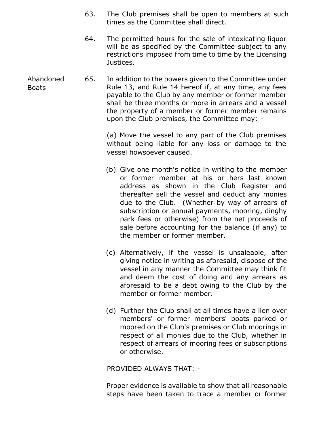- 63. The Club premises shall be open to members at such times as the Committee shall direct.
- 64. The permitted hours for the sale of intoxicating liquor will be as specified by the Committee subject to any restrictions imposed from time to time by the Licensing Justices.
- Abandoned 65. In addition to the powers given to the Committee under Rule 13, and Rule 14 hereof if, at any time, any fees payable to the Club by any member or former member shall be three months or more in arrears and a vessel the property of a member or former member remains upon the Club premises, the Committee may: -

(a) Move the vessel to any part of the Club premises without being liable for any loss or damage to the vessel howsoever caused.

- (b) Give one month's notice in writing to the member or former member at his or hers last known address as shown in the Club Register and thereafter sell the vessel and deduct any monies due to the Club. (Whether by way of arrears of subscription or annual payments, mooring, dinghy park fees or otherwise) from the net proceeds of sale before accounting for the balance (if any) to the member or former member.
- (c) Alternatively, if the vessel is unsaleable, after giving notice in writing as aforesaid, dispose of the vessel in any manner the Committee may think fit and deem the cost of doing and any arrears as aforesaid to be a debt owing to the Club by the member or former member.
- (d) Further the Club shall at all times have a lien over members' or former members' boats parked or moored on the Club's premises or Club moorings in respect of all monies due to the Club, whether in respect of arrears of mooring fees or subscriptions or otherwise.

PROVIDED ALWAYS THAT: -

 Proper evidence is available to show that all reasonable steps have been taken to trace a member or former

Boats